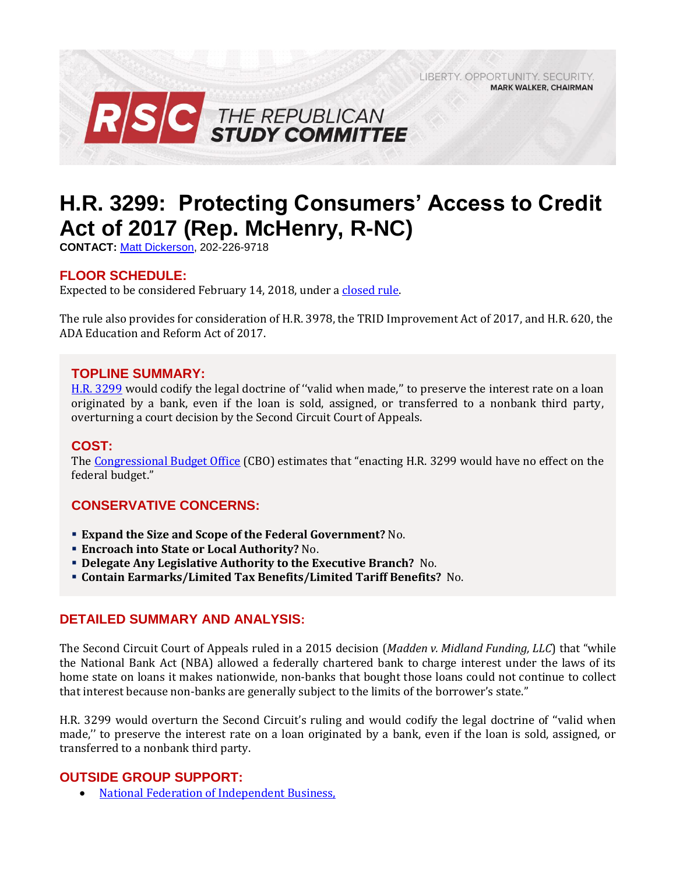LIBERTY, OPPORTUNITY, SECURITY, **MARK WALKER, CHAIRMAN** 



# **H.R. 3299: Protecting Consumers' Access to Credit Act of 2017 (Rep. McHenry, R-NC)**

**CONTACT:** [Matt Dickerson,](mailto:Matthew.Dickerson@mail.house.gov) 202-226-9718

## **FLOOR SCHEDULE:**

Expected to be considered February 14, 2018, under a [closed rule.](https://rules.house.gov/bill/115/hr-3299)

The rule also provides for consideration of H.R. 3978, the TRID Improvement Act of 2017, and H.R. 620, the ADA Education and Reform Act of 2017.

#### **TOPLINE SUMMARY:**

[H.R. 3299](https://www.gpo.gov/fdsys/pkg/BILLS-115hr3299rh/pdf/BILLS-115hr3299rh.pdf) would codify the legal doctrine of ''valid when made,'' to preserve the interest rate on a loan originated by a bank, even if the loan is sold, assigned, or transferred to a nonbank third party, overturning a court decision by the Second Circuit Court of Appeals.

#### **COST:**

The [Congressional Budget Office](https://www.cbo.gov/system/files/115th-congress-2017-2018/costestimate/hr3299.pdf) (CBO) estimates that "enacting H.R. 3299 would have no effect on the federal budget."

#### **CONSERVATIVE CONCERNS:**

- **Expand the Size and Scope of the Federal Government?** No.
- **Encroach into State or Local Authority?** No.
- **Delegate Any Legislative Authority to the Executive Branch?** No.
- **Contain Earmarks/Limited Tax Benefits/Limited Tariff Benefits?** No.

#### **DETAILED SUMMARY AND ANALYSIS:**

The Second Circuit Court of Appeals ruled in a 2015 decision (*Madden v. Midland Funding, LLC*) that "while the National Bank Act (NBA) allowed a federally chartered bank to charge interest under the laws of its home state on loans it makes nationwide, non-banks that bought those loans could not continue to collect that interest because non-banks are generally subject to the limits of the borrower's state."

H.R. 3299 would overturn the Second Circuit's ruling and would codify the legal doctrine of ''valid when made,'' to preserve the interest rate on a loan originated by a bank, even if the loan is sold, assigned, or transferred to a nonbank third party.

#### **OUTSIDE GROUP SUPPORT:**

• National Federation of Independent Business,